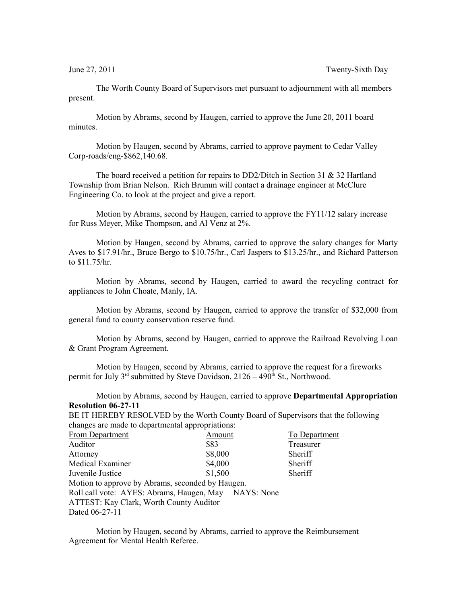The Worth County Board of Supervisors met pursuant to adjournment with all members present.

Motion by Abrams, second by Haugen, carried to approve the June 20, 2011 board minutes.

Motion by Haugen, second by Abrams, carried to approve payment to Cedar Valley Corp-roads/eng-\$862,140.68.

The board received a petition for repairs to DD2/Ditch in Section 31 & 32 Hartland Township from Brian Nelson. Rich Brumm will contact a drainage engineer at McClure Engineering Co. to look at the project and give a report.

Motion by Abrams, second by Haugen, carried to approve the FY11/12 salary increase for Russ Meyer, Mike Thompson, and Al Venz at 2%.

Motion by Haugen, second by Abrams, carried to approve the salary changes for Marty Aves to \$17.91/hr., Bruce Bergo to \$10.75/hr., Carl Jaspers to \$13.25/hr., and Richard Patterson to \$11.75/hr.

Motion by Abrams, second by Haugen, carried to award the recycling contract for appliances to John Choate, Manly, IA.

Motion by Abrams, second by Haugen, carried to approve the transfer of \$32,000 from general fund to county conservation reserve fund.

Motion by Abrams, second by Haugen, carried to approve the Railroad Revolving Loan & Grant Program Agreement.

Motion by Haugen, second by Abrams, carried to approve the request for a fireworks permit for July  $3^{rd}$  submitted by Steve Davidson,  $2126 - 490^{th}$  St., Northwood.

Motion by Abrams, second by Haugen, carried to approve **Departmental Appropriation Resolution 06-27-11**

BE IT HEREBY RESOLVED by the Worth County Board of Supervisors that the following changes are made to departmental appropriations:

| <b>From Department</b>                               | Amount  | <b>To Department</b> |  |  |
|------------------------------------------------------|---------|----------------------|--|--|
| Auditor                                              | \$83    | Treasurer            |  |  |
| Attorney                                             | \$8,000 | Sheriff              |  |  |
| <b>Medical Examiner</b>                              | \$4,000 | Sheriff              |  |  |
| Juvenile Justice                                     | \$1,500 | Sheriff              |  |  |
| Motion to approve by Abrams, seconded by Haugen.     |         |                      |  |  |
| Roll call vote: AYES: Abrams, Haugen, May NAYS: None |         |                      |  |  |
| ATTEST: Kay Clark, Worth County Auditor              |         |                      |  |  |
| Dated 06-27-11                                       |         |                      |  |  |
|                                                      |         |                      |  |  |

Motion by Haugen, second by Abrams, carried to approve the Reimbursement Agreement for Mental Health Referee.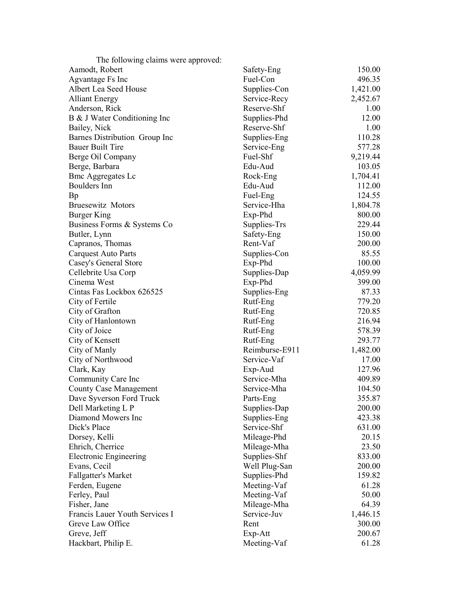| The following claims were approved:            |                             |                  |
|------------------------------------------------|-----------------------------|------------------|
| Aamodt, Robert                                 | Safety-Eng                  | 150.00           |
| Agvantage Fs Inc                               | Fuel-Con                    | 496.35           |
| Albert Lea Seed House                          | Supplies-Con                | 1,421.00         |
| <b>Alliant Energy</b>                          | Service-Recy                | 2,452.67         |
| Anderson, Rick                                 | Reserve-Shf                 | 1.00             |
| B & J Water Conditioning Inc                   | Supplies-Phd                | 12.00            |
| Bailey, Nick                                   | Reserve-Shf                 | 1.00             |
| Barnes Distribution Group Inc                  | Supplies-Eng                | 110.28           |
| <b>Bauer Built Tire</b>                        | Service-Eng                 | 577.28           |
| Berge Oil Company                              | Fuel-Shf                    | 9,219.44         |
| Berge, Barbara                                 | Edu-Aud                     | 103.05           |
| <b>Bmc Aggregates Lc</b>                       | Rock-Eng                    | 1,704.41         |
| Boulders Inn                                   | Edu-Aud                     | 112.00           |
| Bp                                             | Fuel-Eng                    | 124.55           |
| <b>Bruesewitz Motors</b>                       | Service-Hha                 | 1,804.78         |
| Burger King                                    | Exp-Phd                     | 800.00           |
| Business Forms & Systems Co                    | Supplies-Trs                | 229.44           |
| Butler, Lynn                                   | Safety-Eng                  | 150.00           |
| Capranos, Thomas                               | Rent-Vaf                    | 200.00           |
| <b>Carquest Auto Parts</b>                     | Supplies-Con                | 85.55            |
| Casey's General Store                          | Exp-Phd                     | 100.00           |
| Cellebrite Usa Corp                            | Supplies-Dap                | 4,059.99         |
| Cinema West                                    | Exp-Phd                     | 399.00           |
| Cintas Fas Lockbox 626525                      | Supplies-Eng                | 87.33            |
| City of Fertile                                | Rutf-Eng                    | 779.20           |
| City of Grafton                                | Rutf-Eng                    | 720.85           |
| City of Hanlontown                             | Rutf-Eng                    | 216.94           |
| City of Joice                                  | Rutf-Eng                    | 578.39           |
| City of Kensett                                | Rutf-Eng                    | 293.77           |
| City of Manly                                  | Reimburse-E911              | 1,482.00         |
| City of Northwood                              | Service-Vaf                 | 17.00            |
| Clark, Kay                                     | Exp-Aud                     | 127.96           |
| Community Care Inc                             | Service-Mha                 | 409.89           |
| <b>County Case Management</b>                  | Service-Mha                 | 104.50           |
| Dave Syverson Ford Truck                       | Parts-Eng                   | 355.87           |
| Dell Marketing L P<br>Diamond Mowers Inc       | Supplies-Dap                | 200.00           |
| Dick's Place                                   | Supplies-Eng<br>Service-Shf | 423.38           |
|                                                |                             | 631.00<br>20.15  |
| Dorsey, Kelli                                  | Mileage-Phd                 |                  |
| Ehrich, Cherrice                               | Mileage-Mha                 | 23.50<br>833.00  |
| <b>Electronic Engineering</b>                  | Supplies-Shf                | 200.00           |
| Evans, Cecil                                   | Well Plug-San               |                  |
| Fallgatter's Market                            | Supplies-Phd                | 159.82           |
| Ferden, Eugene                                 | Meeting-Vaf                 | 61.28<br>50.00   |
| Ferley, Paul                                   | Meeting-Vaf                 |                  |
| Fisher, Jane<br>Francis Lauer Youth Services I | Mileage-Mha<br>Service-Juv  | 64.39            |
| Greve Law Office                               | Rent                        | 1,446.15         |
|                                                |                             | 300.00<br>200.67 |
| Greve, Jeff                                    | Exp-Att                     | 61.28            |
| Hackbart, Philip E.                            | Meeting-Vaf                 |                  |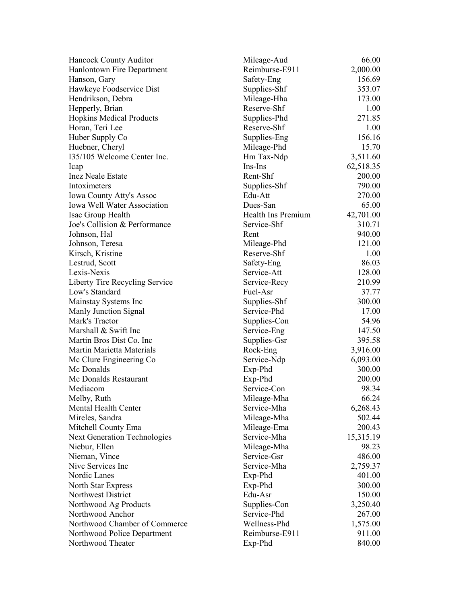| Hancock County Auditor              | Mileage-Aud        | 66.00     |
|-------------------------------------|--------------------|-----------|
| Hanlontown Fire Department          | Reimburse-E911     | 2,000.00  |
| Hanson, Gary                        | Safety-Eng         | 156.69    |
| Hawkeye Foodservice Dist            | Supplies-Shf       | 353.07    |
| Hendrikson, Debra                   | Mileage-Hha        | 173.00    |
| Hepperly, Brian                     | Reserve-Shf        | 1.00      |
| <b>Hopkins Medical Products</b>     | Supplies-Phd       | 271.85    |
| Horan, Teri Lee                     | Reserve-Shf        | 1.00      |
| Huber Supply Co                     | Supplies-Eng       | 156.16    |
| Huebner, Cheryl                     | Mileage-Phd        | 15.70     |
| 135/105 Welcome Center Inc.         | Hm Tax-Ndp         | 3,511.60  |
| Icap                                | Ins-Ins            | 62,518.35 |
| <b>Inez Neale Estate</b>            | Rent-Shf           | 200.00    |
| Intoximeters                        | Supplies-Shf       | 790.00    |
| <b>Iowa County Atty's Assoc</b>     | Edu-Att            | 270.00    |
| <b>Iowa Well Water Association</b>  | Dues-San           | 65.00     |
| Isac Group Health                   | Health Ins Premium | 42,701.00 |
| Joe's Collision & Performance       | Service-Shf        | 310.71    |
| Johnson, Hal                        | Rent               | 940.00    |
| Johnson, Teresa                     | Mileage-Phd        | 121.00    |
| Kirsch, Kristine                    | Reserve-Shf        | 1.00      |
| Lestrud, Scott                      | Safety-Eng         | 86.03     |
| Lexis-Nexis                         | Service-Att        | 128.00    |
| Liberty Tire Recycling Service      | Service-Recy       | 210.99    |
| Low's Standard                      | Fuel-Asr           | 37.77     |
| Mainstay Systems Inc                | Supplies-Shf       | 300.00    |
| Manly Junction Signal               | Service-Phd        | 17.00     |
| Mark's Tractor                      | Supplies-Con       | 54.96     |
| Marshall & Swift Inc                | Service-Eng        | 147.50    |
| Martin Bros Dist Co. Inc.           | Supplies-Gsr       | 395.58    |
| Martin Marietta Materials           | Rock-Eng           | 3,916.00  |
| Mc Clure Engineering Co             | Service-Ndp        | 6,093.00  |
| Mc Donalds                          | Exp-Phd            | 300.00    |
| Mc Donalds Restaurant               | Exp-Phd            | 200.00    |
| Mediacom                            | Service-Con        | 98.34     |
| Melby, Ruth                         | Mileage-Mha        | 66.24     |
| Mental Health Center                | Service-Mha        | 6,268.43  |
| Mireles, Sandra                     | Mileage-Mha        | 502.44    |
| Mitchell County Ema                 | Mileage-Ema        | 200.43    |
| <b>Next Generation Technologies</b> | Service-Mha        | 15,315.19 |
| Niebur, Ellen                       | Mileage-Mha        | 98.23     |
| Nieman, Vince                       | Service-Gsr        | 486.00    |
| Nive Services Inc                   | Service-Mha        | 2,759.37  |
| Nordic Lanes                        | Exp-Phd            | 401.00    |
| North Star Express                  | Exp-Phd            | 300.00    |
| Northwest District                  | Edu-Asr            | 150.00    |
| Northwood Ag Products               | Supplies-Con       | 3,250.40  |
| Northwood Anchor                    | Service-Phd        | 267.00    |
| Northwood Chamber of Commerce       | Wellness-Phd       | 1,575.00  |
| Northwood Police Department         | Reimburse-E911     | 911.00    |
| Northwood Theater                   | Exp-Phd            | 840.00    |
|                                     |                    |           |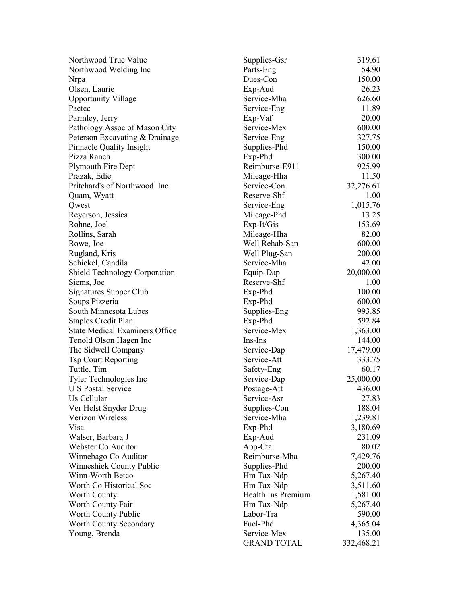| Northwood True Value                  | Supplies-Gsr       | 319.61     |
|---------------------------------------|--------------------|------------|
| Northwood Welding Inc                 | Parts-Eng          | 54.90      |
| Nrpa                                  | Dues-Con           | 150.00     |
| Olsen, Laurie                         | Exp-Aud            | 26.23      |
| <b>Opportunity Village</b>            | Service-Mha        | 626.60     |
| Paetec                                | Service-Eng        | 11.89      |
| Parmley, Jerry                        | Exp-Vaf            | 20.00      |
| Pathology Assoc of Mason City         | Service-Mex        | 600.00     |
| Peterson Excavating & Drainage        | Service-Eng        | 327.75     |
| <b>Pinnacle Quality Insight</b>       | Supplies-Phd       | 150.00     |
| Pizza Ranch                           | Exp-Phd            | 300.00     |
| Plymouth Fire Dept                    | Reimburse-E911     | 925.99     |
| Prazak, Edie                          | Mileage-Hha        | 11.50      |
| Pritchard's of Northwood Inc          | Service-Con        | 32,276.61  |
| Quam, Wyatt                           | Reserve-Shf        | 1.00       |
| Qwest                                 | Service-Eng        | 1,015.76   |
| Reyerson, Jessica                     | Mileage-Phd        | 13.25      |
| Rohne, Joel                           | Exp-It/Gis         | 153.69     |
| Rollins, Sarah                        | Mileage-Hha        | 82.00      |
| Rowe, Joe                             | Well Rehab-San     | 600.00     |
| Rugland, Kris                         | Well Plug-San      | 200.00     |
| Schickel, Candila                     | Service-Mha        | 42.00      |
| <b>Shield Technology Corporation</b>  | Equip-Dap          | 20,000.00  |
| Siems, Joe                            | Reserve-Shf        | 1.00       |
| Signatures Supper Club                | Exp-Phd            | 100.00     |
| Soups Pizzeria                        | Exp-Phd            | 600.00     |
| South Minnesota Lubes                 | Supplies-Eng       | 993.85     |
| <b>Staples Credit Plan</b>            | Exp-Phd            | 592.84     |
| <b>State Medical Examiners Office</b> | Service-Mex        | 1,363.00   |
| Tenold Olson Hagen Inc                | Ins-Ins            | 144.00     |
| The Sidwell Company                   | Service-Dap        | 17,479.00  |
| <b>Tsp Court Reporting</b>            | Service-Att        | 333.75     |
| Tuttle, Tim                           | Safety-Eng         | 60.17      |
| Tyler Technologies Inc                | Service-Dap        | 25,000.00  |
| U S Postal Service                    | Postage-Att        | 436.00     |
| Us Cellular                           | Service-Asr        | 27.83      |
| Ver Helst Snyder Drug                 | Supplies-Con       | 188.04     |
| Verizon Wireless                      | Service-Mha        | 1,239.81   |
| Visa                                  | Exp-Phd            | 3,180.69   |
| Walser, Barbara J                     | Exp-Aud            | 231.09     |
| Webster Co Auditor                    | App-Cta            | 80.02      |
| Winnebago Co Auditor                  | Reimburse-Mha      | 7,429.76   |
| Winneshiek County Public              | Supplies-Phd       | 200.00     |
| Winn-Worth Betco                      | Hm Tax-Ndp         | 5,267.40   |
| Worth Co Historical Soc               | Hm Tax-Ndp         | 3,511.60   |
| Worth County                          | Health Ins Premium | 1,581.00   |
| Worth County Fair                     | Hm Tax-Ndp         | 5,267.40   |
| Worth County Public                   | Labor-Tra          | 590.00     |
| Worth County Secondary                | Fuel-Phd           | 4,365.04   |
| Young, Brenda                         | Service-Mex        | 135.00     |
|                                       | <b>GRAND TOTAL</b> | 332,468.21 |